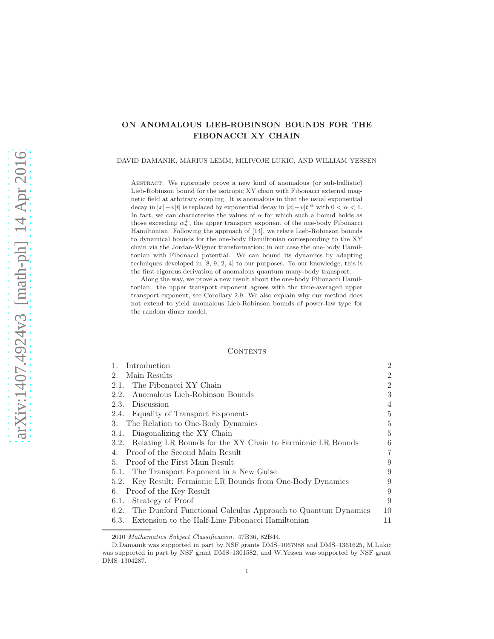## ON ANOMALOUS LIEB-ROBINSON BOUNDS FOR THE FIBONACCI XY CHAIN

DAVID DAMANIK, MARIUS LEMM, MILIVOJE LUKIC, AND WILLIAM YESSEN

Abstract. We rigorously prove a new kind of anomalous (or sub-ballistic) Lieb-Robinson bound for the isotropic XY chain with Fibonacci external magnetic field at arbitrary coupling. It is anomalous in that the usual exponential decay in  $|x| - v|t|$  is replaced by exponential decay in  $|x| - v|t|^\alpha$  with  $0 < \alpha < 1$ . In fact, we can characterize the values of  $\alpha$  for which such a bound holds as those exceeding  $\alpha_u^+$ , the upper transport exponent of the one-body Fibonacci Hamiltonian. Following the approach of [14], we relate Lieb-Robinson bounds to dynamical bounds for the one-body Hamiltonian corresponding to the XY chain via the Jordan-Wigner transformation; in our case the one-body Hamiltonian with Fibonacci potential. We can bound its dynamics by adapting techniques developed in [8, 9, 2, 4] to our purposes. To our knowledge, this is the first rigorous derivation of anomalous quantum many-body transport.

Along the way, we prove a new result about the one-body Fibonacci Hamiltonian: the upper transport exponent agrees with the time-averaged upper transport exponent, see Corollary 2.9. We also explain why our method does not extend to yield anomalous Lieb-Robinson bounds of power-law type for the random dimer model.

## **CONTENTS**

| Introduction<br>$\mathbf{1}_{\cdot}$                              | $\overline{2}$ |
|-------------------------------------------------------------------|----------------|
| Main Results<br>2.                                                | $\overline{2}$ |
| The Fibonacci XY Chain<br>2.1.                                    | $\overline{2}$ |
| Anomalous Lieb-Robinson Bounds<br>2.2.                            | 3              |
| Discussion<br>2.3.                                                | 4              |
| 2.4. Equality of Transport Exponents                              | 5              |
| 3. The Relation to One-Body Dynamics                              | 5              |
| 3.1. Diagonalizing the XY Chain                                   | 5              |
| 3.2. Relating LR Bounds for the XY Chain to Fermionic LR Bounds   | 6              |
| 4. Proof of the Second Main Result                                | $\overline{7}$ |
| 5. Proof of the First Main Result                                 | 9              |
| 5.1. The Transport Exponent in a New Guise                        | 9              |
| 5.2. Key Result: Fermionic LR Bounds from One-Body Dynamics       | 9              |
| 6. Proof of the Key Result                                        | 9              |
| Strategy of Proof<br>6.1.                                         | 9              |
| 6.2. The Dunford Functional Calculus Approach to Quantum Dynamics | 10             |
| 6.3. Extension to the Half-Line Fibonacci Hamiltonian             | 11             |

2010 *Mathematics Subject Classification.* 47B36, 82B44.

D.Damanik was supported in part by NSF grants DMS–1067988 and DMS–1361625, M.Lukic was supported in part by NSF grant DMS–1301582, and W.Yessen was supported by NSF grant DMS–1304287.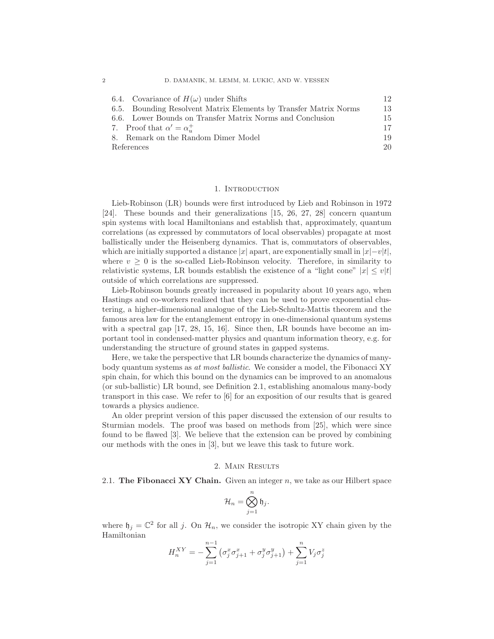| 6.4. Covariance of $H(\omega)$ under Shifts                      | 12 |
|------------------------------------------------------------------|----|
| 6.5. Bounding Resolvent Matrix Elements by Transfer Matrix Norms | 13 |
| 6.6. Lower Bounds on Transfer Matrix Norms and Conclusion        | 15 |
| 7. Proof that $\alpha' = \alpha_u^+$                             | 17 |
| 8. Remark on the Random Dimer Model                              | 19 |
| References                                                       | 20 |

#### 1. INTRODUCTION

Lieb-Robinson (LR) bounds were first introduced by Lieb and Robinson in 1972 [24]. These bounds and their generalizations [15, 26, 27, 28] concern quantum spin systems with local Hamiltonians and establish that, approximately, quantum correlations (as expressed by commutators of local observables) propagate at most ballistically under the Heisenberg dynamics. That is, commutators of observables, which are initially supported a distance |x| apart, are exponentially small in  $|x|-v|t|$ , where  $v \geq 0$  is the so-called Lieb-Robinson velocity. Therefore, in similarity to relativistic systems, LR bounds establish the existence of a "light cone"  $|x| \leq v|t|$ outside of which correlations are suppressed.

Lieb-Robinson bounds greatly increased in popularity about 10 years ago, when Hastings and co-workers realized that they can be used to prove exponential clustering, a higher-dimensional analogue of the Lieb-Schultz-Mattis theorem and the famous area law for the entanglement entropy in one-dimensional quantum systems with a spectral gap [17, 28, 15, 16]. Since then, LR bounds have become an important tool in condensed-matter physics and quantum information theory, e.g. for understanding the structure of ground states in gapped systems.

Here, we take the perspective that LR bounds characterize the dynamics of manybody quantum systems as at most ballistic. We consider a model, the Fibonacci XY spin chain, for which this bound on the dynamics can be improved to an anomalous (or sub-ballistic) LR bound, see Definition 2.1, establishing anomalous many-body transport in this case. We refer to [6] for an exposition of our results that is geared towards a physics audience.

An older preprint version of this paper discussed the extension of our results to Sturmian models. The proof was based on methods from [25], which were since found to be flawed [3]. We believe that the extension can be proved by combining our methods with the ones in [3], but we leave this task to future work.

## 2. Main Results

2.1. The Fibonacci XY Chain. Given an integer  $n$ , we take as our Hilbert space

$$
\mathcal{H}_n = \bigotimes_{j=1}^n \mathfrak{h}_j.
$$

where  $\mathfrak{h}_j = \mathbb{C}^2$  for all j. On  $\mathcal{H}_n$ , we consider the isotropic XY chain given by the Hamiltonian

$$
H_n^{XY} = -\sum_{j=1}^{n-1} \left( \sigma_j^x \sigma_{j+1}^x + \sigma_j^y \sigma_{j+1}^y \right) + \sum_{j=1}^n V_j \sigma_j^z
$$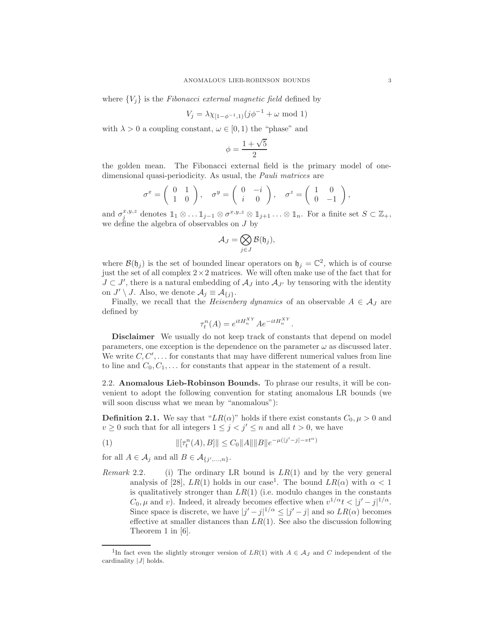where  ${V_i}$  is the Fibonacci external magnetic field defined by

$$
V_j = \lambda \chi_{[1-\phi^{-1},1)}(j\phi^{-1} + \omega \mod 1)
$$

with  $\lambda > 0$  a coupling constant,  $\omega \in [0, 1)$  the "phase" and

$$
\phi = \frac{1+\sqrt{5}}{2}
$$

the golden mean. The Fibonacci external field is the primary model of onedimensional quasi-periodicity. As usual, the *Pauli matrices* are

$$
\sigma^x = \begin{pmatrix} 0 & 1 \\ 1 & 0 \end{pmatrix}, \quad \sigma^y = \begin{pmatrix} 0 & -i \\ i & 0 \end{pmatrix}, \quad \sigma^z = \begin{pmatrix} 1 & 0 \\ 0 & -1 \end{pmatrix},
$$

and  $\sigma_j^{x,y,z}$  denotes  $1_1 \otimes \ldots 1_{j-1} \otimes \sigma^{x,y,z} \otimes 1_{j+1} \ldots \otimes 1_n$ . For a finite set  $S \subset \mathbb{Z}_+$ , we define the algebra of observables on J by

$$
\mathcal{A}_J=\bigotimes_{j\in J}\mathcal{B}(\mathfrak{h}_j),
$$

where  $\mathcal{B}(\mathfrak{h}_j)$  is the set of bounded linear operators on  $\mathfrak{h}_j = \mathbb{C}^2$ , which is of course just the set of all complex  $2 \times 2$  matrices. We will often make use of the fact that for  $J \subset J'$ , there is a natural embedding of  $\mathcal{A}_J$  into  $\mathcal{A}_{J'}$  by tensoring with the identity on  $J' \setminus J$ . Also, we denote  $A_j \equiv A_{\{j\}}$ .

Finally, we recall that the *Heisenberg dynamics* of an observable  $A \in \mathcal{A}_J$  are defined by

$$
\tau_t^n(A) = e^{itH_n^{XY}} A e^{-itH_n^{XY}}.
$$

Disclaimer We usually do not keep track of constants that depend on model parameters, one exception is the dependence on the parameter  $\omega$  as discussed later. We write  $C, C', \ldots$  for constants that may have different numerical values from line to line and  $C_0, C_1, \ldots$  for constants that appear in the statement of a result.

2.2. Anomalous Lieb-Robinson Bounds. To phrase our results, it will be convenient to adopt the following convention for stating anomalous LR bounds (we will soon discuss what we mean by "anomalous"):

**Definition 2.1.** We say that " $LR(\alpha)$ " holds if there exist constants  $C_0, \mu > 0$  and  $v \geq 0$  such that for all integers  $1 \leq j \leq j' \leq n$  and all  $t > 0$ , we have

(1) 
$$
\|[\tau_t^n(A), B]\| \leq C_0 \|A\| \|B\| e^{-\mu(|j'-j|-vt^{\alpha})}
$$

for all  $A \in \mathcal{A}_j$  and all  $B \in \mathcal{A}_{\{j',...,n\}}$ .

*Remark* 2.2. (i) The ordinary LR bound is  $LR(1)$  and by the very general analysis of [28],  $LR(1)$  holds in our case<sup>1</sup>. The bound  $LR(\alpha)$  with  $\alpha < 1$ is qualitatively stronger than  $LR(1)$  (i.e. modulo changes in the constants  $C_0, \mu$  and v). Indeed, it already becomes effective when  $v^{1/\alpha} t < |j'-j|^{1/\alpha}$ . Since space is discrete, we have  $|j'-j|^{1/\alpha} \le |j'-j|$  and so  $LR(\alpha)$  becomes effective at smaller distances than  $LR(1)$ . See also the discussion following Theorem 1 in [6].

<sup>&</sup>lt;sup>1</sup>In fact even the slightly stronger version of  $LR(1)$  with  $A \in \mathcal{A}_J$  and C independent of the cardinality  $|J|$  holds.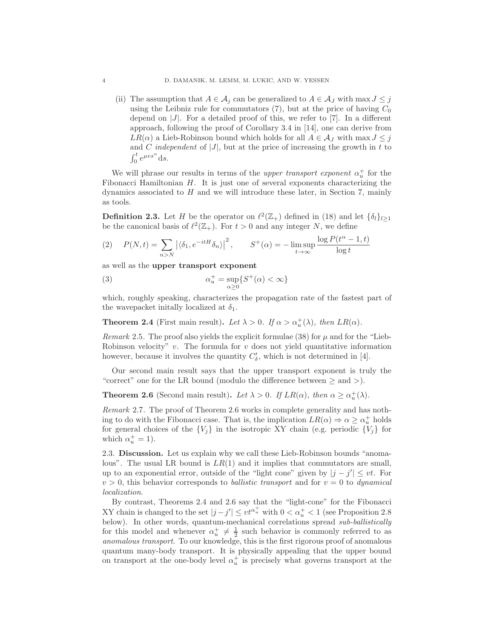(ii) The assumption that  $A \in \mathcal{A}_i$  can be generalized to  $A \in \mathcal{A}_j$  with max  $J \leq j$ using the Leibniz rule for commutators  $(7)$ , but at the price of having  $C_0$ depend on  $|J|$ . For a detailed proof of this, we refer to [7]. In a different approach, following the proof of Corollary 3.4 in [14], one can derive from  $LR(\alpha)$  a Lieb-Robinson bound which holds for all  $A \in \mathcal{A}_J$  with max  $J \leq j$ and C independent of  $|J|$ , but at the price of increasing the growth in t to  $\int_0^t e^{\mu vs^\alpha} ds.$ 

We will phrase our results in terms of the *upper transport exponent*  $\alpha_u^+$  for the Fibonacci Hamiltonian H. It is just one of several exponents characterizing the dynamics associated to  $H$  and we will introduce these later, in Section 7, mainly as tools.

**Definition 2.3.** Let H be the operator on  $\ell^2(\mathbb{Z}_+)$  defined in (18) and let  $\{\delta_l\}_{l\geq 1}$ be the canonical basis of  $\ell^2(\mathbb{Z}_+)$ . For  $t > 0$  and any integer N, we define

$$
(2) \quad P(N,t) = \sum_{n>N} \left| \langle \delta_1, e^{-itH} \delta_n \rangle \right|^2, \qquad S^+(\alpha) = -\limsup_{t \to \infty} \frac{\log P(t^{\alpha} - 1, t)}{\log t}
$$

as well as the upper transport exponent

(3) 
$$
\alpha_u^+ = \sup_{\alpha \ge 0} \{ S^+(\alpha) < \infty \}
$$

which, roughly speaking, characterizes the propagation rate of the fastest part of the wavepacket initially localized at  $\delta_1$ .

**Theorem 2.4** (First main result). Let  $\lambda > 0$ . If  $\alpha > \alpha_u^+(\lambda)$ , then  $LR(\alpha)$ .

Remark 2.5. The proof also yields the explicit formulae (38) for  $\mu$  and for the "Lieb-Robinson velocity"  $v$ . The formula for  $v$  does not yield quantitative information however, because it involves the quantity  $C'_{\delta}$ , which is not determined in [4].

Our second main result says that the upper transport exponent is truly the "correct" one for the LR bound (modulo the difference between  $\geq$  and  $\geq$ ).

**Theorem 2.6** (Second main result). Let  $\lambda > 0$ . If  $LR(\alpha)$ , then  $\alpha \ge \alpha_u^+(\lambda)$ .

Remark 2.7. The proof of Theorem 2.6 works in complete generality and has nothing to do with the Fibonacci case. That is, the implication  $LR(\alpha) \Rightarrow \alpha \ge \alpha^+_{\mu}$  holds for general choices of the  ${V_j}$  in the isotropic XY chain (e.g. periodic  ${V_j}$  for which  $\alpha_u^+ = 1$ ).

2.3. Discussion. Let us explain why we call these Lieb-Robinson bounds "anomalous". The usual LR bound is  $LR(1)$  and it implies that commutators are small, up to an exponential error, outside of the "light cone" given by  $|j - j'| \le vt$ . For  $v > 0$ , this behavior corresponds to *ballistic transport* and for  $v = 0$  to *dynamical* localization.

By contrast, Theorems 2.4 and 2.6 say that the "light-cone" for the Fibonacci XY chain is changed to the set  $|j - j'| \le vt^{\alpha_u^+}$  with  $0 < \alpha_u^+ < 1$  (see Proposition 2.8) below). In other words, quantum-mechanical correlations spread sub-ballistically for this model and whenever  $\alpha_u^+ \neq \frac{1}{2}$  such behavior is commonly referred to as anomalous transport. To our knowledge, this is the first rigorous proof of anomalous quantum many-body transport. It is physically appealing that the upper bound on transport at the one-body level  $\alpha_u^+$  is precisely what governs transport at the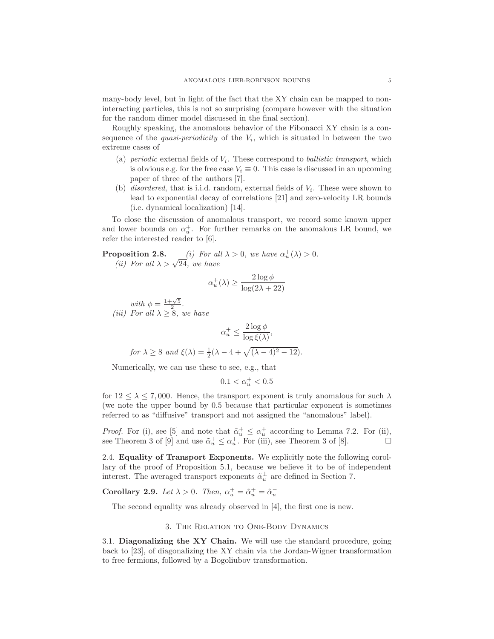many-body level, but in light of the fact that the XY chain can be mapped to noninteracting particles, this is not so surprising (compare however with the situation for the random dimer model discussed in the final section).

Roughly speaking, the anomalous behavior of the Fibonacci XY chain is a consequence of the *quasi-periodicity* of the  $V_i$ , which is situated in between the two extreme cases of

- (a) periodic external fields of  $V_i$ . These correspond to *ballistic transport*, which is obvious e.g. for the free case  $V_i \equiv 0$ . This case is discussed in an upcoming paper of three of the authors [7].
- (b) *disordered*, that is i.i.d. random, external fields of  $V_i$ . These were shown to lead to exponential decay of correlations [21] and zero-velocity LR bounds (i.e. dynamical localization) [14].

To close the discussion of anomalous transport, we record some known upper and lower bounds on  $\alpha_u^+$ . For further remarks on the anomalous LR bound, we refer the interested reader to [6].

**Proposition 2.8.** (i) For all  $\lambda > 0$ , we have  $\alpha_u^+(\lambda) > 0$ .<br>(ii) For all  $\lambda > \sqrt{24}$ , we have

$$
\alpha_u^+(\lambda) \ge \frac{2\log \phi}{\log(2\lambda + 22)}
$$

with  $\phi = \frac{1+\sqrt{5}}{2}$ . (*iii*) For all  $\lambda \geq 8$ , we have

$$
\alpha_u^+ \le \frac{2 \log \phi}{\log \xi(\lambda)},
$$
  
for  $\lambda \ge 8$  and  $\xi(\lambda) = \frac{1}{2}(\lambda - 4 + \sqrt{(\lambda - 4)^2 - 12}).$ 

Numerically, we can use these to see, e.g., that

$$
0.1<\alpha_u^+<0.5
$$

for  $12 \leq \lambda \leq 7,000$ . Hence, the transport exponent is truly anomalous for such  $\lambda$ (we note the upper bound by 0.5 because that particular exponent is sometimes referred to as "diffusive" transport and not assigned the "anomalous" label).

*Proof.* For (i), see [5] and note that  $\tilde{\alpha}_u^+ \leq \alpha_u^+$  according to Lemma 7.2. For (ii), see Theorem 3 of [9] and use  $\tilde{\alpha}_u^+ \leq \alpha_u^+$ . For (iii), see Theorem 3 of [8].  $\Box$ 

2.4. Equality of Transport Exponents. We explicitly note the following corollary of the proof of Proposition 5.1, because we believe it to be of independent interest. The averaged transport exponents  $\tilde{\alpha}_u^{\pm}$  are defined in Section 7.

Corollary 2.9. Let  $\lambda > 0$ . Then,  $\alpha_u^+ = \tilde{\alpha}_u^+ = \tilde{\alpha}_u^-$ 

The second equality was already observed in [4], the first one is new.

### 3. The Relation to One-Body Dynamics

3.1. Diagonalizing the XY Chain. We will use the standard procedure, going back to [23], of diagonalizing the XY chain via the Jordan-Wigner transformation to free fermions, followed by a Bogoliubov transformation.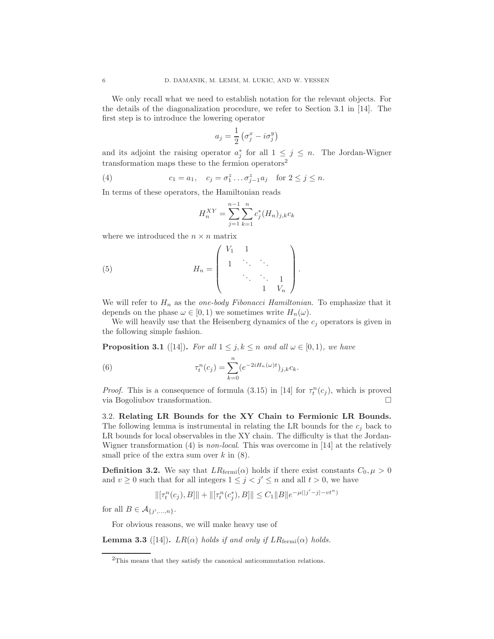We only recall what we need to establish notation for the relevant objects. For the details of the diagonalization procedure, we refer to Section 3.1 in [14]. The first step is to introduce the lowering operator

$$
a_j = \frac{1}{2} \left( \sigma_j^x - i \sigma_j^y \right)
$$

and its adjoint the raising operator  $a_j^*$  for all  $1 \leq j \leq n$ . The Jordan-Wigner transformation maps these to the fermion operators<sup>2</sup>

(4) 
$$
c_1 = a_1, \quad c_j = \sigma_1^z \dots \sigma_{j-1}^z a_j \quad \text{for } 2 \le j \le n.
$$

In terms of these operators, the Hamiltonian reads

$$
H_n^{XY} = \sum_{j=1}^{n-1} \sum_{k=1}^n c_j^*(H_n)_{j,k} c_k
$$

where we introduced the  $n \times n$  matrix

(5) 
$$
H_n = \left( \begin{array}{cccc} V_1 & 1 & & \\ 1 & \ddots & \ddots & \\ & & \ddots & \ddots & 1 \\ & & & 1 & V_n \end{array} \right).
$$

We will refer to  $H_n$  as the one-body Fibonacci Hamiltonian. To emphasize that it depends on the phase  $\omega \in [0, 1)$  we sometimes write  $H_n(\omega)$ .

We will heavily use that the Heisenberg dynamics of the  $c_j$  operators is given in the following simple fashion.

**Proposition 3.1** ([14]). For all  $1 \leq j, k \leq n$  and all  $\omega \in [0, 1)$ , we have

(6) 
$$
\tau_t^n(c_j) = \sum_{k=0}^n (e^{-2iH_n(\omega)t})_{j,k}c_k.
$$

*Proof.* This is a consequence of formula (3.15) in [14] for  $\tau_t^n(c_j)$ , which is proved via Bogoliubov transformation.

3.2. Relating LR Bounds for the XY Chain to Fermionic LR Bounds. The following lemma is instrumental in relating the LR bounds for the  $c_i$  back to LR bounds for local observables in the XY chain. The difficulty is that the Jordan-Wigner transformation (4) is *non-local*. This was overcome in [14] at the relatively small price of the extra sum over  $k$  in  $(8)$ .

**Definition 3.2.** We say that  $LR_{\text{fermi}}(\alpha)$  holds if there exist constants  $C_0, \mu > 0$ and  $v \ge 0$  such that for all integers  $1 \le j < j' \le n$  and all  $t > 0$ , we have

$$
\|[\tau_t^n(c_j), B]\| + \|[\tau_t^n(c_j^*), B]\| \le C_1 \|B\| e^{-\mu(|j'-j| - vt^{\alpha})}
$$

for all  $B \in \mathcal{A}_{\{j',...,n\}}$ .

For obvious reasons, we will make heavy use of

**Lemma 3.3** ([14]).  $LR(\alpha)$  holds if and only if  $LR_{\text{fermi}}(\alpha)$  holds.

<sup>2</sup>This means that they satisfy the canonical anticommutation relations.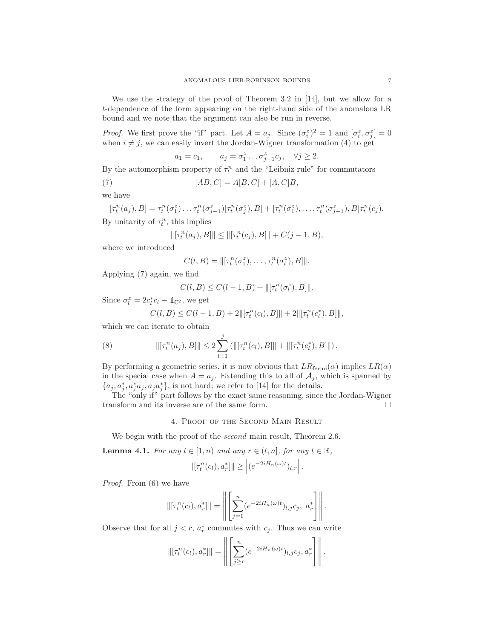We use the strategy of the proof of Theorem 3.2 in [14], but we allow for a t-dependence of the form appearing on the right-hand side of the anomalous LR bound and we note that the argument can also be run in reverse.

*Proof.* We first prove the "if" part. Let  $A = a_j$ . Since  $(\sigma_i^z)^2 = 1$  and  $[\sigma_i^z, \sigma_j^z] = 0$ when  $i \neq j$ , we can easily invert the Jordan-Wigner transformation (4) to get

$$
a_1 = c_1
$$
,  $a_j = \sigma_1^z \dots \sigma_{j-1}^z c_j$ ,  $\forall j \ge 2$ .

By the automorphism property of  $\tau_t^n$  and the "Leibniz rule" for commutators

(7)  $[AB, C] = A[B, C] + [A, C]B,$ 

we have

$$
[\tau_t^n(a_j), B] = \tau_t^n(\sigma_1^z) \dots \tau_t^n(\sigma_{j-1}^z) [\tau_t^n(\sigma_j^z), B] + [\tau_t^n(\sigma_1^z), \dots, \tau_t^n(\sigma_{j-1}^z), B] \tau_t^n(c_j).
$$
  
By unitarity of  $\tau_t^n$ , this implies

$$
\|[\tau_t^n(a_j), B]\| \le \|\tau_t^n(c_j), B\|\| + C(j-1, B),
$$

where we introduced

$$
C(l, B) = ||[\tau_t^n(\sigma_1^z), \dots, \tau_t^n(\sigma_l^z), B]||.
$$

Applying (7) again, we find

$$
C(l, B) \le C(l - 1, B) + ||[\tau_t^n(\sigma_t^z), B]||.
$$

Since  $\sigma_l^z = 2c_l^*c_l - \mathbb{1}_{\mathbb{C}^2}$ , we get

$$
C(l, B) \le C(l - 1, B) + 2\|[\tau_t^n(c_l), B]\| + 2\|[\tau_t^n(c_l^*), B]\|,
$$

which we can iterate to obtain

(8) 
$$
\|[\tau_t^n(a_j), B]\| \leq 2 \sum_{l=1}^j \left(\|[\tau_t^n(c_l), B]\| + \|[\tau_t^n(c_l^*), B]\|\right).
$$

By performing a geometric series, it is now obvious that  $LR_{\text{fermi}}(\alpha)$  implies  $LR(\alpha)$ in the special case when  $A = a_j$ . Extending this to all of  $A_j$ , which is spanned by  $\{a_j, a_j^*, a_j^*a_j, a_ja_j^*\},$  is not hard; we refer to [14] for the details.

The "only if" part follows by the exact same reasoning, since the Jordan-Wigner transform and its inverse are of the same form.

## 4. Proof of the Second Main Result

We begin with the proof of the *second* main result, Theorem 2.6.

**Lemma 4.1.** For any  $l \in [1, n)$  and any  $r \in (l, n]$ , for any  $t \in \mathbb{R}$ ,

$$
\left\| \left[ \tau_t^n(c_l), a_r^* \right] \right\| \ge \left| \left( e^{-2i H_n(\omega)t} \right)_{l,r} \right|.
$$

Proof. From (6) we have

$$
\|[\tau_t^n(c_l), a_r^*]\| = \left\| \left[ \sum_{j=1}^n (e^{-2iH_n(\omega)t})_{l,j} c_j, a_r^* \right] \right\|.
$$

Observe that for all  $j < r$ ,  $a_r^*$  commutes with  $c_j$ . Thus we can write

$$
\|[\tau_t^n(c_l), a_r^*]\| = \left\| \left[ \sum_{j \geq r}^n (e^{-2iH_n(\omega)t})_{l,j} c_j, a_r^* \right] \right\|.
$$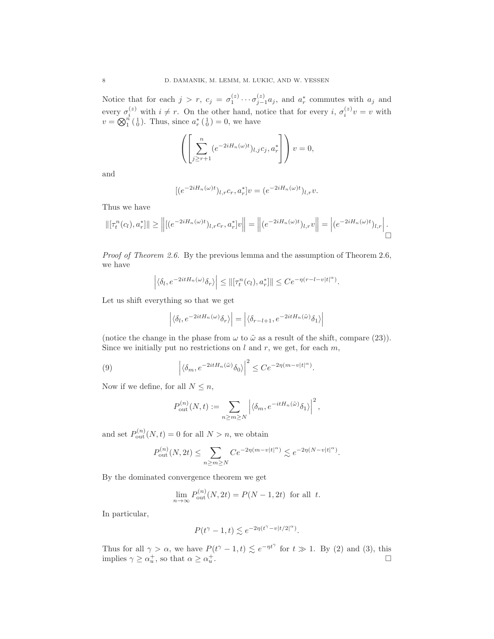Notice that for each  $j > r$ ,  $c_j = \sigma_1^{(z)} \cdots \sigma_{j-1}^{(z)} a_j$ , and  $a_r^*$  commutes with  $a_j$  and every  $\sigma_i^{(z)}$  with  $i \neq r$ . On the other hand, notice that for every  $i, \sigma_i^{(z)}v = v$  with  $v = \bigotimes_{1}^{n} \left( \begin{smallmatrix} 1 \\ 0 \end{smallmatrix} \right)$ . Thus, since  $a_r^* \left( \begin{smallmatrix} 1 \\ 0 \end{smallmatrix} \right) = 0$ , we have

$$
\left(\left[\sum_{j\geq r+1}^{n} (e^{-2iH_n(\omega)t})_{l,j}c_j, a_r^*\right]\right)v=0,
$$

and

$$
[(e^{-2iH_n(\omega)t})_{l,r}c_r, a_r^*]v = (e^{-2iH_n(\omega)t})_{l,r}v.
$$

Thus we have

$$
\|[\tau_t^n(c_l), a_r^*]\| \ge \left\| [ (e^{-2iH_n(\omega)t})_{l,r} c_r, a_r^*] v \right\| = \left\| (e^{-2iH_n(\omega)t})_{l,r} v \right\| = \left| (e^{-2iH_n(\omega)t})_{l,r} \right|.
$$

Proof of Theorem 2.6. By the previous lemma and the assumption of Theorem 2.6, we have

$$
\left| \langle \delta_l, e^{-2itH_n(\omega)} \delta_r \rangle \right| \leq ||[\tau_t^n(c_l), a_r^*]|| \leq Ce^{-\eta(r-l-v|t|^{\alpha})}.
$$

Let us shift everything so that we get

$$
\left| \langle \delta_l, e^{-2itH_n(\omega)} \delta_r \rangle \right| = \left| \langle \delta_{r-l+1}, e^{-2itH_n(\tilde{\omega})} \delta_1 \rangle \right|
$$

(notice the change in the phase from  $\omega$  to  $\tilde{\omega}$  as a result of the shift, compare (23)). Since we initially put no restrictions on  $l$  and  $r$ , we get, for each  $m$ ,

(9) 
$$
\left| \langle \delta_m, e^{-2itH_n(\tilde{\omega})} \delta_0 \rangle \right|^2 \leq C e^{-2\eta(m-v|t|^{\alpha})}.
$$

Now if we define, for all  $N \leq n$ ,

$$
P_{\text{out}}^{(n)}(N,t) := \sum_{n \ge m \ge N} \left| \langle \delta_m, e^{-itH_n(\tilde{\omega})} \delta_1 \rangle \right|^2,
$$

and set  $P_{\text{out}}^{(n)}(N,t) = 0$  for all  $N > n$ , we obtain

$$
P_{\text{out}}^{(n)}(N,2t) \le \sum_{n \ge m \ge N} C e^{-2\eta(m-v|t|^{\alpha})} \lesssim e^{-2\eta(N-v|t|^{\alpha})}.
$$

By the dominated convergence theorem we get

$$
\lim_{n \to \infty} P_{\text{out}}^{(n)}(N, 2t) = P(N - 1, 2t)
$$
 for all  $t$ .

In particular,

$$
P(t^{\gamma}-1,t) \lesssim e^{-2\eta(t^{\gamma}-v|t/2|^{\alpha})}.
$$

Thus for all  $\gamma > \alpha$ , we have  $P(t^{\gamma} - 1, t) \lesssim e^{-\eta t^{\gamma}}$  for  $t \gg 1$ . By (2) and (3), this implies  $\gamma \ge \alpha_u^+$ , so that  $\alpha \ge \alpha_u^+$ .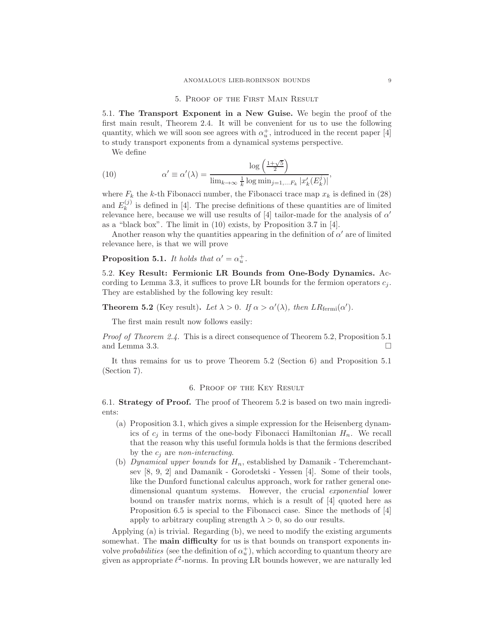#### 5. Proof of the First Main Result

5.1. The Transport Exponent in a New Guise. We begin the proof of the first main result, Theorem 2.4. It will be convenient for us to use the following quantity, which we will soon see agrees with  $\alpha_u^+$ , introduced in the recent paper [4] to study transport exponents from a dynamical systems perspective.

We define

(10) 
$$
\alpha' \equiv \alpha'(\lambda) = \frac{\log\left(\frac{1+\sqrt{5}}{2}\right)}{\lim_{k\to\infty}\frac{1}{k}\log \min_{j=1,...F_k}|x'_k(E_k^j)|},
$$

where  $F_k$  the k-th Fibonacci number, the Fibonacci trace map  $x_k$  is defined in (28) and  $E_k^{(j)}$  $\binom{1}{k}$  is defined in [4]. The precise definitions of these quantities are of limited relevance here, because we will use results of  $[4]$  tailor-made for the analysis of  $\alpha'$ as a "black box". The limit in (10) exists, by Proposition 3.7 in [4].

Another reason why the quantities appearing in the definition of  $\alpha'$  are of limited relevance here, is that we will prove

**Proposition 5.1.** It holds that  $\alpha' = \alpha_u^+$ .

5.2. Key Result: Fermionic LR Bounds from One-Body Dynamics. According to Lemma 3.3, it suffices to prove LR bounds for the fermion operators  $c_j$ . They are established by the following key result:

**Theorem 5.2** (Key result). Let  $\lambda > 0$ . If  $\alpha > \alpha'(\lambda)$ , then  $LR_{\text{fermi}}(\alpha')$ .

The first main result now follows easily:

Proof of Theorem 2.4. This is a direct consequence of Theorem 5.2, Proposition 5.1 and Lemma 3.3.  $\Box$ 

It thus remains for us to prove Theorem 5.2 (Section 6) and Proposition 5.1 (Section 7).

#### 6. Proof of the Key Result

6.1. Strategy of Proof. The proof of Theorem 5.2 is based on two main ingredients:

- (a) Proposition 3.1, which gives a simple expression for the Heisenberg dynamics of  $c_j$  in terms of the one-body Fibonacci Hamiltonian  $H_n$ . We recall that the reason why this useful formula holds is that the fermions described by the  $c_j$  are non-interacting.
- (b) Dynamical upper bounds for  $H_n$ , established by Damanik Tcheremchantsev [8, 9, 2] and Damanik - Gorodetski - Yessen [4]. Some of their tools, like the Dunford functional calculus approach, work for rather general onedimensional quantum systems. However, the crucial exponential lower bound on transfer matrix norms, which is a result of [4] quoted here as Proposition 6.5 is special to the Fibonacci case. Since the methods of [4] apply to arbitrary coupling strength  $\lambda > 0$ , so do our results.

Applying (a) is trivial. Regarding (b), we need to modify the existing arguments somewhat. The main difficulty for us is that bounds on transport exponents involve *probabilities* (see the definition of  $\alpha_u^+$ ), which according to quantum theory are given as appropriate  $\ell^2$ -norms. In proving LR bounds however, we are naturally led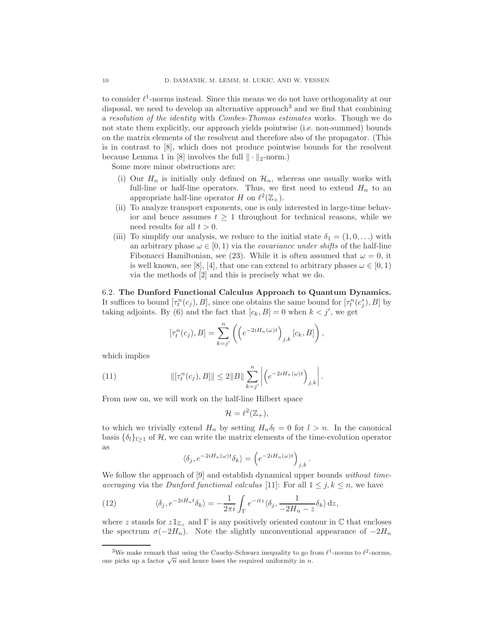to consider  $\ell^1$ -norms instead. Since this means we do not have orthogonality at our disposal, we need to develop an alternative approach<sup>3</sup> and we find that combining a resolution of the identity with Combes-Thomas estimates works. Though we do not state them explicitly, our approach yields pointwise (i.e. non-summed) bounds on the matrix elements of the resolvent and therefore also of the propagator. (This is in contrast to [8], which does not produce pointwise bounds for the resolvent because Lemma 1 in [8] involves the full  $\|\cdot\|_2$ -norm.)

Some more minor obstructions are:

- (i) Our  $H_n$  is initially only defined on  $\mathcal{H}_n$ , whereas one usually works with full-line or half-line operators. Thus, we first need to extend  $H_n$  to an appropriate half-line operator H on  $\ell^2(\mathbb{Z}_+).$
- (ii) To analyze transport exponents, one is only interested in large-time behavior and hence assumes  $t \geq 1$  throughout for technical reasons, while we need results for all  $t > 0$ .
- (iii) To simplify our analysis, we reduce to the initial state  $\delta_1 = (1, 0, \ldots)$  with an arbitrary phase  $\omega \in [0, 1)$  via the *covariance under shifts* of the half-line Fibonacci Hamiltonian, see (23). While it is often assumed that  $\omega = 0$ , it is well known, see [8], [4], that one can extend to arbitrary phases  $\omega \in [0, 1)$ via the methods of [2] and this is precisely what we do.

6.2. The Dunford Functional Calculus Approach to Quantum Dynamics. It suffices to bound  $[\tau_t^n(c_j), B]$ , since one obtains the same bound for  $[\tau_t^n(c_j^*), B]$  by taking adjoints. By (6) and the fact that  $[c_k, B] = 0$  when  $k < j'$ , we get

$$
[\tau_t^n(c_j), B] = \sum_{k=j'}^n \left( \left( e^{-2iH_n(\omega)t} \right)_{j,k} [c_k, B] \right),
$$

which implies

(11) 
$$
\|[\tau_t^n(c_j), B]\| \le 2\|B\| \sum_{k=j'}^n \left| \left( e^{-2iH_n(\omega)t} \right)_{j,k} \right|.
$$

From now on, we will work on the half-line Hilbert space

$$
\mathcal{H}=\ell^2(\mathbb{Z}_+),
$$

to which we trivially extend  $H_n$  by setting  $H_n\delta_l = 0$  for  $l > n$ . In the canonical basis  $\{\delta_l\}_{l\geq1}$  of H, we can write the matrix elements of the time-evolution operator as

$$
\langle \delta_j, e^{-2iH_n(\omega)t} \delta_k \rangle = \left( e^{-2iH_n(\omega)t} \right)_{j,k}.
$$

We follow the approach of  $[9]$  and establish dynamical upper bounds *without time*averaging via the Dunford functional calculus [11]: For all  $1 \leq j, k \leq n$ , we have

(12) 
$$
\langle \delta_j, e^{-2iH_n t} \delta_k \rangle = -\frac{1}{2\pi i} \int_{\Gamma} e^{-itz} \langle \delta_j, \frac{1}{-2H_n - z} \delta_k \rangle \,dz,
$$

where z stands for  $z\mathbb{1}_{\mathbb{Z}_+}$  and  $\Gamma$  is any positively oriented contour in C that encloses the spectrum  $\sigma(-2H_n)$ . Note the slightly unconventional appearance of  $-2H_n$ 

<sup>&</sup>lt;sup>3</sup>We make remark that using the Cauchy-Schwarz inequality to go from  $\ell^1$ -norms to  $\ell^2$ -norms, one picks up a factor  $\sqrt{n}$  and hence loses the required uniformity in n.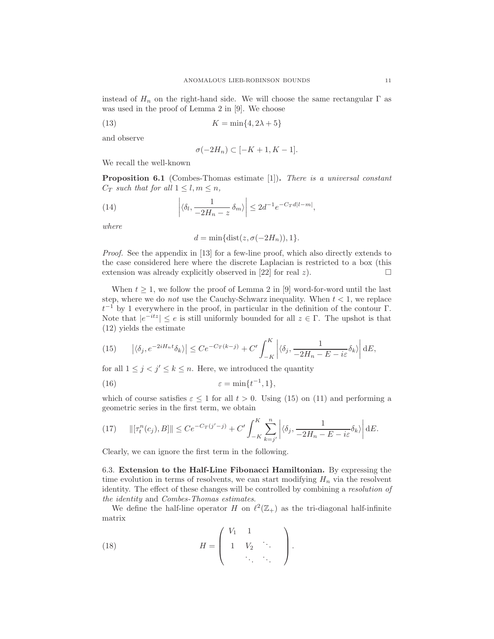instead of  $H_n$  on the right-hand side. We will choose the same rectangular  $\Gamma$  as was used in the proof of Lemma 2 in [9]. We choose

$$
(13) \t K = \min\{4, 2\lambda + 5\}
$$

and observe

$$
\sigma(-2H_n) \subset [-K+1, K-1].
$$

We recall the well-known

**Proposition 6.1** (Combes-Thomas estimate [1]). There is a universal constant  $C_T$  such that for all  $1 \leq l, m \leq n$ ,

(14) 
$$
\left| \langle \delta_l, \frac{1}{-2H_n - z} \delta_m \rangle \right| \leq 2d^{-1} e^{-C_T d|l - m|},
$$

where

 $d = \min\{\text{dist}(z, \sigma(-2H_n)), 1\}.$ 

Proof. See the appendix in [13] for a few-line proof, which also directly extends to the case considered here where the discrete Laplacian is restricted to a box (this extension was already explicitly observed in [22] for real z).  $\Box$ 

When  $t \geq 1$ , we follow the proof of Lemma 2 in [9] word-for-word until the last step, where we do *not* use the Cauchy-Schwarz inequality. When  $t < 1$ , we replace  $t^{-1}$  by 1 everywhere in the proof, in particular in the definition of the contour  $\Gamma$ . Note that  $|e^{-itz}| \le e$  is still uniformly bounded for all  $z \in \Gamma$ . The upshot is that (12) yields the estimate

(15) 
$$
\left| \langle \delta_j, e^{-2iH_n t} \delta_k \rangle \right| \leq C e^{-C_T(k-j)} + C' \int_{-K}^{K} \left| \langle \delta_j, \frac{1}{-2H_n - E - i\varepsilon} \delta_k \rangle \right| dE,
$$

for all  $1 \leq j \leq j' \leq k \leq n$ . Here, we introduced the quantity

(16) 
$$
\varepsilon = \min\{t^{-1}, 1\},\
$$

which of course satisfies  $\varepsilon \leq 1$  for all  $t > 0$ . Using (15) on (11) and performing a geometric series in the first term, we obtain

(17) 
$$
\|[\tau_t^n(c_j), B]\| \le Ce^{-C_T(j'-j)} + C' \int_{-K}^K \sum_{k=j'}^n \left| \langle \delta_j, \frac{1}{-2H_n - E - i\varepsilon} \delta_k \rangle \right| dE.
$$

Clearly, we can ignore the first term in the following.

6.3. Extension to the Half-Line Fibonacci Hamiltonian. By expressing the time evolution in terms of resolvents, we can start modifying  $H_n$  via the resolvent identity. The effect of these changes will be controlled by combining a resolution of the identity and Combes-Thomas estimates.

We define the half-line operator H on  $\ell^2(\mathbb{Z}_+)$  as the tri-diagonal half-infinite matrix

(18) 
$$
H = \begin{pmatrix} V_1 & 1 & & \\ 1 & V_2 & \ddots & \\ & \ddots & \ddots & \end{pmatrix}.
$$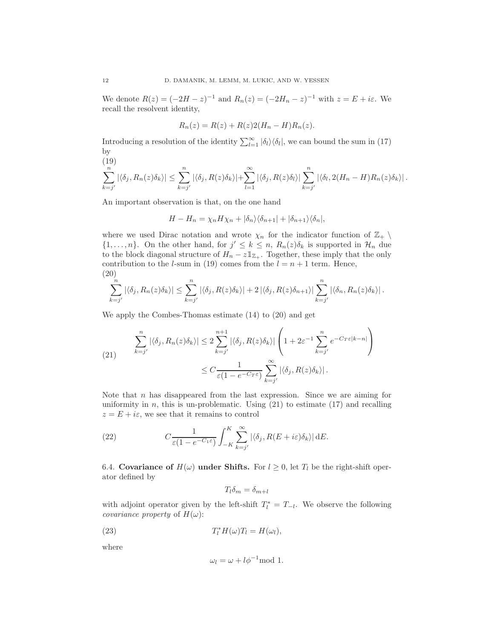We denote  $R(z) = (-2H - z)^{-1}$  and  $R_n(z) = (-2H_n - z)^{-1}$  with  $z = E + i\varepsilon$ . We recall the resolvent identity,

$$
R_n(z) = R(z) + R(z)2(H_n - H)R_n(z).
$$

Introducing a resolution of the identity  $\sum_{l=1}^{\infty} |\delta_l\rangle\langle\delta_l|$ , we can bound the sum in (17) by  $(19)$ 

$$
\sum_{k=j'}^{(1,0)} |\langle \delta_j, R_n(z) \delta_k \rangle| \leq \sum_{k=j'}^{n} |\langle \delta_j, R(z) \delta_k \rangle| + \sum_{l=1}^{\infty} |\langle \delta_j, R(z) \delta_l \rangle| \sum_{k=j'}^{n} |\langle \delta_l, 2(H_n - H) R_n(z) \delta_k \rangle|.
$$

An important observation is that, on the one hand

$$
H - H_n = \chi_n H \chi_n + |\delta_n\rangle\langle\delta_{n+1}| + |\delta_{n+1}\rangle\langle\delta_n|,
$$

where we used Dirac notation and wrote  $\chi_n$  for the indicator function of  $\mathbb{Z}_+$  $\{1, \ldots, n\}$ . On the other hand, for  $j' \leq k \leq n$ ,  $R_n(z)\delta_k$  is supported in  $\mathcal{H}_n$  due to the block diagonal structure of  $H_n - z \mathbb{1}_{\mathbb{Z}_+}$ . Together, these imply that the only contribution to the *l*-sum in (19) comes from the  $l = n + 1$  term. Hence, (20)

$$
\sum_{k=j'}^{n} |\langle \delta_j, R_n(z)\delta_k \rangle| \leq \sum_{k=j'}^{n} |\langle \delta_j, R(z)\delta_k \rangle| + 2 |\langle \delta_j, R(z)\delta_{n+1} \rangle| \sum_{k=j'}^{n} |\langle \delta_n, R_n(z)\delta_k \rangle|.
$$

We apply the Combes-Thomas estimate (14) to (20) and get

(21) 
$$
\sum_{k=j'}^{n} |\langle \delta_j, R_n(z)\delta_k \rangle| \leq 2 \sum_{k=j'}^{n+1} |\langle \delta_j, R(z)\delta_k \rangle| \left( 1 + 2\varepsilon^{-1} \sum_{k=j'}^{n} e^{-C_T \varepsilon |k-n|} \right)
$$

$$
\leq C \frac{1}{\varepsilon (1 - e^{-C_T \varepsilon})} \sum_{k=j'}^{\infty} |\langle \delta_j, R(z)\delta_k \rangle|.
$$

Note that  $n$  has disappeared from the last expression. Since we are aiming for uniformity in  $n$ , this is un-problematic. Using  $(21)$  to estimate  $(17)$  and recalling  $z = E + i\varepsilon$ , we see that it remains to control

(22) 
$$
C \frac{1}{\varepsilon (1 - e^{-C_1 \varepsilon})} \int_{-K}^{K} \sum_{k=j'}^{\infty} |\langle \delta_j, R(E + i\varepsilon) \delta_k \rangle| dE.
$$

6.4. Covariance of  $H(\omega)$  under Shifts. For  $l \geq 0$ , let  $T_l$  be the right-shift operator defined by

$$
T_l\delta_m=\delta_{m+l}
$$

with adjoint operator given by the left-shift  $T_l^* = T_{-l}$ . We observe the following *covariance property* of  $H(\omega)$ :

(23) 
$$
T_l^* H(\omega) T_l = H(\omega_l),
$$

where

$$
\omega_l = \omega + l\phi^{-1} \text{mod } 1.
$$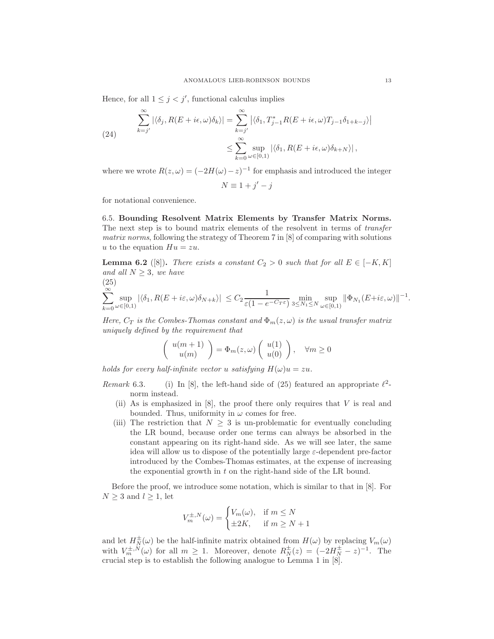Hence, for all  $1 \leq j < j'$ , functional calculus implies

(24)  

$$
\sum_{k=j'}^{\infty} |\langle \delta_j, R(E+i\epsilon,\omega)\delta_k \rangle| = \sum_{k=j'}^{\infty} |\langle \delta_1, T_{j-1}^* R(E+i\epsilon,\omega)T_{j-1}\delta_{1+k-j} \rangle
$$

$$
\leq \sum_{k=0}^{\infty} \sup_{\omega \in [0,1)} |\langle \delta_1, R(E+i\epsilon,\omega)\delta_{k+N} \rangle|,
$$

where we wrote  $R(z, \omega) = (-2H(\omega) - z)^{-1}$  for emphasis and introduced the integer  $N \equiv 1 + j' - j$ 

for notational convenience.

6.5. Bounding Resolvent Matrix Elements by Transfer Matrix Norms. The next step is to bound matrix elements of the resolvent in terms of transfer matrix norms, following the strategy of Theorem 7 in [8] of comparing with solutions u to the equation  $Hu = zu$ .

**Lemma 6.2** ([8]). There exists a constant  $C_2 > 0$  such that for all  $E \in [-K, K]$ and all  $N > 3$ , we have

$$
\sum_{k=0}^{\infty} \sup_{\omega \in [0,1)} |\langle \delta_1, R(E + i\varepsilon, \omega) \delta_{N+k} \rangle| \leq C_2 \frac{1}{\varepsilon (1 - e^{-C_T \varepsilon})} \min_{3 \leq N_1 \leq N} \sup_{\omega \in [0,1)} ||\Phi_{N_1}(E + i\varepsilon, \omega)||^{-1}.
$$

Here,  $C_T$  is the Combes-Thomas constant and  $\Phi_m(z,\omega)$  is the usual transfer matrix uniquely defined by the requirement that

$$
\left(\begin{array}{c}u(m+1)\\u(m)\end{array}\right)=\Phi_m(z,\omega)\left(\begin{array}{c}u(1)\\u(0)\end{array}\right),\quad\forall m\geq 0
$$

holds for every half-infinite vector u satisfying  $H(\omega)u = zu$ .

Remark 6.3. (i) In [8], the left-hand side of (25) featured an appropriate  $\ell^2$ norm instead.

- (ii) As is emphasized in  $[8]$ , the proof there only requires that V is real and bounded. Thus, uniformity in  $\omega$  comes for free.
- (iii) The restriction that  $N \geq 3$  is un-problematic for eventually concluding the LR bound, because order one terms can always be absorbed in the constant appearing on its right-hand side. As we will see later, the same idea will allow us to dispose of the potentially large  $\varepsilon$ -dependent pre-factor introduced by the Combes-Thomas estimates, at the expense of increasing the exponential growth in t on the right-hand side of the LR bound.

Before the proof, we introduce some notation, which is similar to that in [8]. For  $N \geq 3$  and  $l \geq 1$ , let

$$
V_m^{\pm,N}(\omega) = \begin{cases} V_m(\omega), & \text{if } m \le N \\ \pm 2K, & \text{if } m \ge N+1 \end{cases}
$$

and let  $H_N^{\pm}(\omega)$  be the half-infinite matrix obtained from  $H(\omega)$  by replacing  $V_m(\omega)$ with  $V_m^{\pm,N}(\omega)$  for all  $m \geq 1$ . Moreover, denote  $R_N^{\pm}(z) = (-2H_N^{\pm} - z)^{-1}$ . The crucial step is to establish the following analogue to Lemma 1 in [8].

 $\begin{array}{c} \begin{array}{c} \begin{array}{c} \end{array}\\ \begin{array}{c} \end{array} \end{array} \end{array}$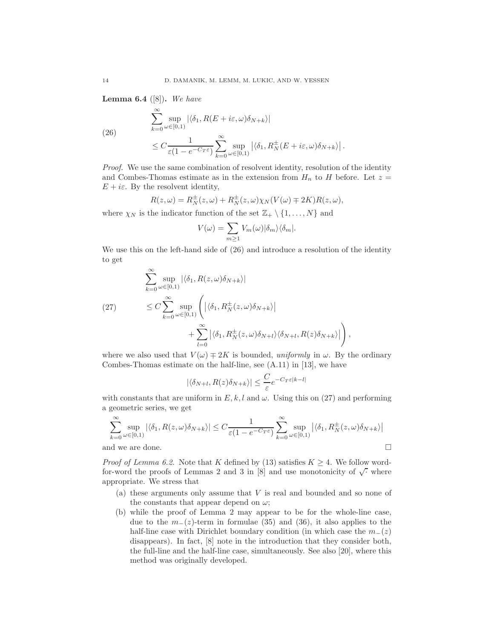**Lemma 6.4** ([8]). We have

(26)  
\n
$$
\sum_{k=0}^{\infty} \sup_{\omega \in [0,1]} |\langle \delta_1, R(E + i\varepsilon, \omega) \delta_{N+k} \rangle|
$$
\n
$$
\leq C \frac{1}{\varepsilon (1 - e^{-C_T \varepsilon})} \sum_{k=0}^{\infty} \sup_{\omega \in [0,1]} |\langle \delta_1, R_N^{\pm}(E + i\varepsilon, \omega) \delta_{N+k} \rangle|.
$$

Proof. We use the same combination of resolvent identity, resolution of the identity and Combes-Thomas estimate as in the extension from  $H_n$  to H before. Let  $z =$  $E + i\varepsilon$ . By the resolvent identity,

$$
R(z,\omega) = R_N^{\pm}(z,\omega) + R_N^{\pm}(z,\omega)\chi_N(V(\omega) \mp 2K)R(z,\omega),
$$

where  $\chi_N$  is the indicator function of the set  $\mathbb{Z}_+ \setminus \{1, \ldots, N\}$  and

$$
V(\omega) = \sum_{m \ge 1} V_m(\omega) |\delta_m\rangle \langle \delta_m|.
$$

We use this on the left-hand side of (26) and introduce a resolution of the identity to get

$$
\sum_{k=0}^{\infty} \sup_{\omega \in [0,1)} |\langle \delta_1, R(z, \omega) \delta_{N+k} \rangle|
$$
\n
$$
\leq C \sum_{k=0}^{\infty} \sup_{\omega \in [0,1)} \left( |\langle \delta_1, R_N^{\pm}(z, \omega) \delta_{N+k} \rangle| + \sum_{l=0}^{\infty} |\langle \delta_1, R_N^{\pm}(z, \omega) \delta_{N+l} \rangle \langle \delta_{N+l}, R(z) \delta_{N+k} \rangle| \right),
$$

where we also used that  $V(\omega) \mp 2K$  is bounded, uniformly in  $\omega$ . By the ordinary Combes-Thomas estimate on the half-line, see (A.11) in [13], we have

$$
|\langle \delta_{N+l}, R(z)\delta_{N+k}\rangle| \le \frac{C}{\varepsilon} e^{-C_T \varepsilon |k-l|}
$$

with constants that are uniform in  $E, k, l$  and  $\omega$ . Using this on (27) and performing a geometric series, we get

$$
\sum_{k=0}^{\infty} \sup_{\omega \in [0,1)} |\langle \delta_1, R(z,\omega)\delta_{N+k} \rangle| \le C \frac{1}{\varepsilon (1 - e^{-C_T \varepsilon})} \sum_{k=0}^{\infty} \sup_{\omega \in [0,1)} |\langle \delta_1, R_N^{\pm}(z,\omega)\delta_{N+k} \rangle|
$$
  
and we are done.

*Proof of Lemma 6.2.* Note that K defined by (13) satisfies  $K \geq 4$ . We follow wordfor-word the proofs of Lemmas 2 and 3 in [8] and use monotonicity of  $\sqrt{\cdot}$  where appropriate. We stress that

- (a) these arguments only assume that V is real and bounded and so none of the constants that appear depend on  $\omega$ ;
- (b) while the proof of Lemma 2 may appear to be for the whole-line case, due to the  $m_-(z)$ -term in formulae (35) and (36), it also applies to the half-line case with Dirichlet boundary condition (in which case the  $m_-(z)$ ) disappears). In fact, [8] note in the introduction that they consider both, the full-line and the half-line case, simultaneously. See also [20], where this method was originally developed.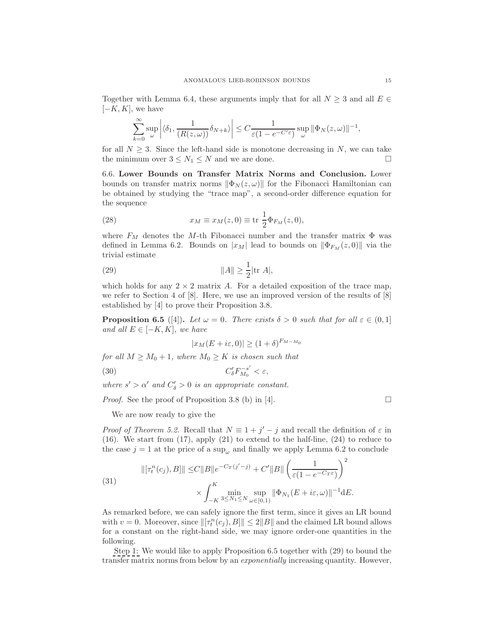Together with Lemma 6.4, these arguments imply that for all  $N \geq 3$  and all  $E \in$  $[-K, K]$ , we have

$$
\sum_{k=0}^{\infty} \sup_{\omega} \left| \langle \delta_1, \frac{1}{(R(z,\omega))} \delta_{N+k} \rangle \right| \leq C \frac{1}{\varepsilon (1 - e^{-C'\varepsilon})} \sup_{\omega} \|\Phi_N(z,\omega)\|^{-1},
$$

for all  $N \geq 3$ . Since the left-hand side is monotone decreasing in N, we can take the minimum over  $3 \leq N_1 \leq N$  and we are done. the minimum over  $3 \leq N_1 \leq N$  and we are done.

6.6. Lower Bounds on Transfer Matrix Norms and Conclusion. Lower bounds on transfer matrix norms  $\|\Phi_N(z,\omega)\|$  for the Fibonacci Hamiltonian can be obtained by studying the "trace map", a second-order difference equation for the sequence

(28) 
$$
x_M \equiv x_M(z,0) \equiv \text{tr} \frac{1}{2} \Phi_{F_M}(z,0),
$$

where  $F_M$  denotes the M-th Fibonacci number and the transfer matrix  $\Phi$  was defined in Lemma 6.2. Bounds on  $|x_M|$  lead to bounds on  $\|\Phi_{F_M}(z, 0)\|$  via the trivial estimate

(29) 
$$
||A|| \ge \frac{1}{2} |\text{tr } A|,
$$

which holds for any  $2 \times 2$  matrix A. For a detailed exposition of the trace map, we refer to Section 4 of  $|8|$ . Here, we use an improved version of the results of  $|8|$ established by [4] to prove their Proposition 3.8.

**Proposition 6.5** ([4]). Let  $\omega = 0$ . There exists  $\delta > 0$  such that for all  $\varepsilon \in (0,1]$ and all  $E \in [-K, K]$ , we have

$$
|x_M(E+i\varepsilon,0)| \ge (1+\delta)^{F_{M-M_0}}
$$

for all  $M \geq M_0 + 1$ , where  $M_0 \geq K$  is chosen such that

(30) 
$$
C'_{\delta}F_{M_0}^{-s'}<\varepsilon,
$$

where  $s' > \alpha'$  and  $C'_\delta > 0$  is an appropriate constant.

*Proof.* See the proof of Proposition 3.8 (b) in [4].

We are now ready to give the

*Proof of Theorem 5.2.* Recall that  $N \equiv 1 + j' - j$  and recall the definition of  $\varepsilon$  in (16). We start from (17), apply (21) to extend to the half-line, (24) to reduce to the case  $j = 1$  at the price of a sup<sub> $\omega$ </sub> and finally we apply Lemma 6.2 to conclude

(31)  
\n
$$
\|[\tau_t^n(c_j), B] \| \le C \|B\| e^{-C_T(j'-j)} + C' \|B\| \left(\frac{1}{\varepsilon(1 - e^{-C_T \varepsilon})}\right)^2
$$
\n
$$
\times \int_{-K}^K \min_{3 \le N_1 \le N} \sup_{\omega \in [0,1)} \|\Phi_{N_1}(E + i\varepsilon, \omega)\|^{-1} dE.
$$

As remarked before, we can safely ignore the first term, since it gives an LR bound with  $v = 0$ . Moreover, since  $\|\tau_t^n(c_j), B\| \leq 2\|B\|$  and the claimed LR bound allows for a constant on the right-hand side, we may ignore order-one quantities in the following.

Step 1: We would like to apply Proposition 6.5 together with (29) to bound the transfer matrix norms from below by an exponentially increasing quantity. However,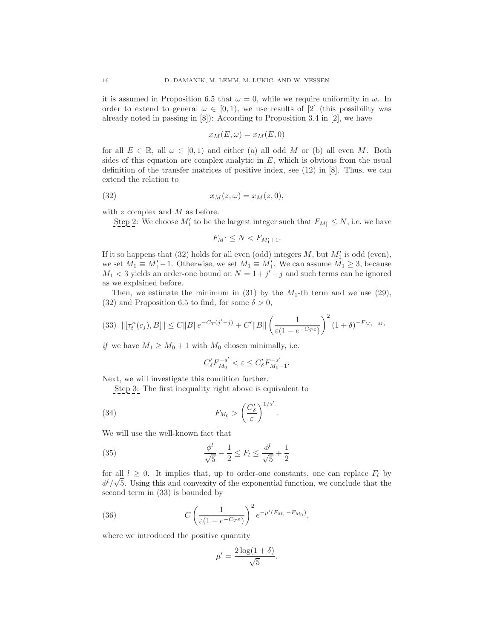it is assumed in Proposition 6.5 that  $\omega = 0$ , while we require uniformity in  $\omega$ . In order to extend to general  $\omega \in [0,1)$ , we use results of [2] (this possibility was already noted in passing in [8]): According to Proposition 3.4 in [2], we have

$$
x_M(E,\omega) = x_M(E,0)
$$

for all  $E \in \mathbb{R}$ , all  $\omega \in [0,1)$  and either (a) all odd M or (b) all even M. Both sides of this equation are complex analytic in  $E$ , which is obvious from the usual definition of the transfer matrices of positive index, see (12) in [8]. Thus, we can extend the relation to

$$
(32) \t\t\t x_M(z,\omega) = x_M(z,0),
$$

with  $z$  complex and  $M$  as before.

Step 2: We choose  $M'_1$  to be the largest integer such that  $F_{M'_1} \leq N$ , i.e. we have

$$
F_{M_1'} \leq N < F_{M_1'+1}.
$$

If it so happens that (32) holds for all even (odd) integers  $M$ , but  $M'_1$  is odd (even), we set  $M_1 \equiv M'_1 - 1$ . Otherwise, we set  $M_1 \equiv M'_1$ . We can assume  $M_1 \geq 3$ , because  $M_1 < 3$  yields an order-one bound on  $N = 1 + j' - j$  and such terms can be ignored as we explained before.

Then, we estimate the minimum in (31) by the  $M_1$ -th term and we use (29), (32) and Proposition 6.5 to find, for some  $\delta > 0$ ,

$$
(33) \quad ||[\tau_t^n(c_j), B]|| \le C ||B|| e^{-C_T(j'-j)} + C'||B|| \left(\frac{1}{\varepsilon (1 - e^{-C_T \varepsilon})}\right)^2 (1 + \delta)^{-F_{M_1 - M_0}}
$$

*if* we have  $M_1 \geq M_0 + 1$  with  $M_0$  chosen minimally, i.e.

$$
C_\delta'F_{M_0}^{-s'}<\varepsilon\leq C_\delta'F_{M_0-1}^{-s'}.
$$

Next, we will investigate this condition further.

Step 3: The first inequality right above is equivalent to

(34) 
$$
F_{M_0} > \left(\frac{C'_\delta}{\varepsilon}\right)^{1/s'}.
$$

We will use the well-known fact that

(35) 
$$
\frac{\phi^l}{\sqrt{5}} - \frac{1}{2} \le F_l \le \frac{\phi^l}{\sqrt{5}} + \frac{1}{2}
$$

for all  $l \geq 0$ . It implies that, up to order-one constants, one can replace  $F_l$  by  $\phi^l/\sqrt{5}$ . Using this and convexity of the exponential function, we conclude that the second term in (33) is bounded by

(36) 
$$
C\left(\frac{1}{\varepsilon(1-e^{-C_T\varepsilon})}\right)^2e^{-\mu'(F_{M_1}-F_{M_0})},
$$

where we introduced the positive quantity

$$
\mu' = \frac{2\log(1+\delta)}{\sqrt{5}}.
$$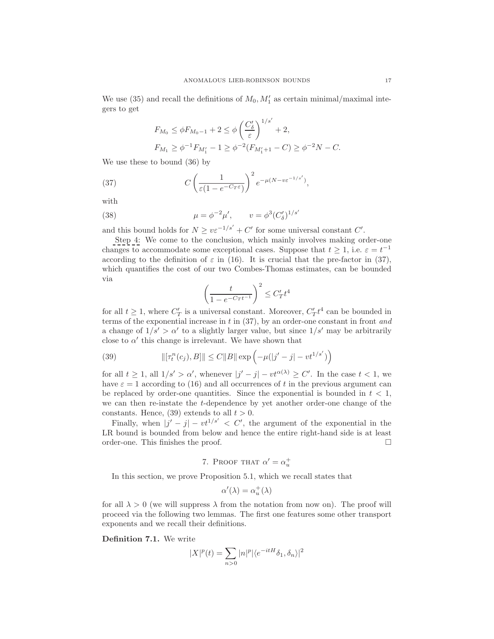We use (35) and recall the definitions of  $M_0, M'_1$  as certain minimal/maximal integers to get

$$
F_{M_0} \le \phi F_{M_0 - 1} + 2 \le \phi \left(\frac{C'_\delta}{\varepsilon}\right)^{1/s'} + 2,
$$
  

$$
F_{M_1} \ge \phi^{-1} F_{M'_1} - 1 \ge \phi^{-2} (F_{M'_1 + 1} - C) \ge \phi^{-2} N - C.
$$

We use these to bound (36) by

(37) 
$$
C\left(\frac{1}{\varepsilon(1-e^{-C_T\varepsilon})}\right)^2 e^{-\mu(N-v\varepsilon^{-1/s'})},
$$

with

(38) 
$$
\mu = \phi^{-2} \mu', \qquad v = \phi^3 (C'_{\delta})^{1/s'}
$$

and this bound holds for  $N \geq v \varepsilon^{-1/s'} + C'$  for some universal constant  $C'$ .

Step 4: We come to the conclusion, which mainly involves making order-one changes to accommodate some exceptional cases. Suppose that  $t \geq 1$ , i.e.  $\varepsilon = t^{-1}$ according to the definition of  $\varepsilon$  in (16). It is crucial that the pre-factor in (37), which quantifies the cost of our two Combes-Thomas estimates, can be bounded via

$$
\left(\frac{t}{1 - e^{-C_T t^{-1}}}\right)^2 \le C'_T t^4
$$

for all  $t \geq 1$ , where  $C'_T$  is a universal constant. Moreover,  $C'_T t^4$  can be bounded in terms of the exponential increase in  $t$  in (37), by an order-one constant in front and a change of  $1/s' > \alpha'$  to a slightly larger value, but since  $1/s'$  may be arbitrarily close to  $\alpha'$  this change is irrelevant. We have shown that

(39) 
$$
\|[\tau_t^n(c_j), B]\| \le C \|B\| \exp\left(-\mu(|j'-j| - vt^{1/s'})\right)
$$

for all  $t \geq 1$ , all  $1/s' > \alpha'$ , whenever  $|j'-j| - vt^{\alpha(\lambda)} \geq C'$ . In the case  $t < 1$ , we have  $\varepsilon = 1$  according to (16) and all occurrences of t in the previous argument can be replaced by order-one quantities. Since the exponential is bounded in  $t < 1$ , we can then re-instate the t-dependence by yet another order-one change of the constants. Hence, (39) extends to all  $t > 0$ .

Finally, when  $|j'-j|-vt^{1/s'}| < C'$ , the argument of the exponential in the LR bound is bounded from below and hence the entire right-hand side is at least order-one. This finishes the proof.  $\Box$ 

# 7. Proof that  $\alpha' = \alpha_u^+$

In this section, we prove Proposition 5.1, which we recall states that

$$
\alpha'(\lambda) = \alpha_u^+(\lambda)
$$

for all  $\lambda > 0$  (we will suppress  $\lambda$  from the notation from now on). The proof will proceed via the following two lemmas. The first one features some other transport exponents and we recall their definitions.

Definition 7.1. We write

$$
|X|^p(t)=\sum_{n>0}|n|^p|\langle e^{-itH}\delta_1,\delta_n\rangle|^2
$$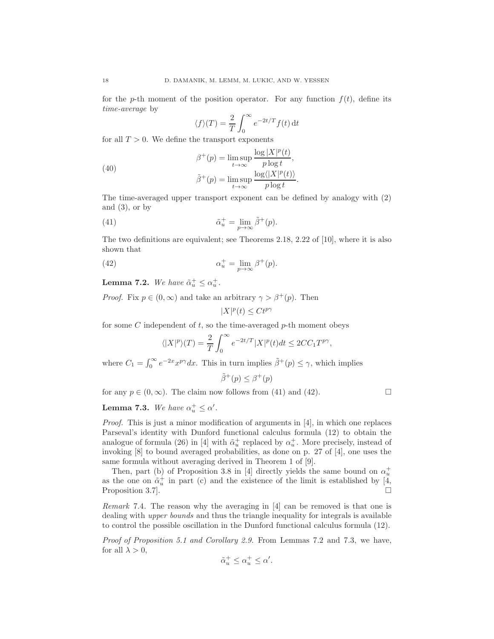for the p-th moment of the position operator. For any function  $f(t)$ , define its time-average by

$$
\langle f \rangle(T) = \frac{2}{T} \int_0^\infty e^{-2t/T} f(t) \, \mathrm{d}t
$$

for all  $T > 0$ . We define the transport exponents

(40)  
\n
$$
\beta^+(p) = \limsup_{t \to \infty} \frac{\log |X|^p(t)}{p \log t},
$$
\n
$$
\tilde{\beta}^+(p) = \limsup_{t \to \infty} \frac{\log \langle |X|^p(t) \rangle}{p \log t}.
$$

The time-averaged upper transport exponent can be defined by analogy with (2) and  $(3)$ , or by

(41) 
$$
\tilde{\alpha}_u^+ = \lim_{p \to \infty} \tilde{\beta}^+(p).
$$

The two definitions are equivalent; see Theorems 2.18, 2.22 of [10], where it is also shown that

(42) 
$$
\alpha_u^+ = \lim_{p \to \infty} \beta^+(p).
$$

**Lemma 7.2.** We have  $\tilde{\alpha}_u^+ \leq \alpha_u^+$ .

*Proof.* Fix  $p \in (0, \infty)$  and take an arbitrary  $\gamma > \beta^+(p)$ . Then

$$
|X|^p(t)\le Ct^{p\gamma}
$$

for some  $C$  independent of  $t$ , so the time-averaged  $p$ -th moment obeys

$$
\langle |X|^p \rangle(T) = \frac{2}{T} \int_0^\infty e^{-2t/T} |X|^p(t) dt \le 2CC_1 T^{p\gamma},
$$

where  $C_1 = \int_0^\infty e^{-2x} x^{p\gamma} dx$ . This in turn implies  $\tilde{\beta}^+(p) \leq \gamma$ , which implies

$$
\tilde{\beta}^+(p) \le \beta^+(p)
$$

for any  $p \in (0, \infty)$ . The claim now follows from (41) and (42).

**Lemma 7.3.** We have  $\alpha_u^+ \leq \alpha'$ .

Proof. This is just a minor modification of arguments in [4], in which one replaces Parseval's identity with Dunford functional calculus formula (12) to obtain the analogue of formula (26) in [4] with  $\tilde{\alpha}_u^+$  replaced by  $\alpha_u^+$ . More precisely, instead of invoking [8] to bound averaged probabilities, as done on p. 27 of [4], one uses the same formula without averaging derived in Theorem 1 of [9].

Then, part (b) of Proposition 3.8 in [4] directly yields the same bound on  $\alpha_u^+$ as the one on  $\tilde{\alpha}_u^+$  in part (c) and the existence of the limit is established by [4, Proposition 3.7.  $\Box$ 

Remark 7.4. The reason why the averaging in [4] can be removed is that one is dealing with upper bounds and thus the triangle inequality for integrals is available to control the possible oscillation in the Dunford functional calculus formula (12).

Proof of Proposition 5.1 and Corollary 2.9. From Lemmas 7.2 and 7.3, we have, for all  $\lambda > 0$ ,

$$
\tilde{\alpha}_u^+ \le \alpha_u^+ \le \alpha'.
$$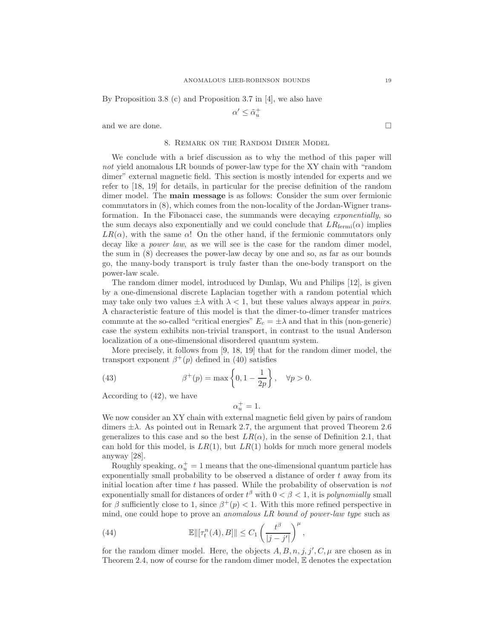By Proposition 3.8 (c) and Proposition 3.7 in [4], we also have

$$
\alpha'\leq\tilde{\alpha}_u^+
$$

and we are done.

## 8. Remark on the Random Dimer Model

We conclude with a brief discussion as to why the method of this paper will not yield anomalous LR bounds of power-law type for the XY chain with "random" dimer" external magnetic field. This section is mostly intended for experts and we refer to [18, 19] for details, in particular for the precise definition of the random dimer model. The main message is as follows: Consider the sum over fermionic commutators in (8), which comes from the non-locality of the Jordan-Wigner transformation. In the Fibonacci case, the summands were decaying exponentially, so the sum decays also exponentially and we could conclude that  $LR_{\text{fermi}}(\alpha)$  implies  $LR(\alpha)$ , with the same  $\alpha$ ! On the other hand, if the fermionic commutators only decay like a *power law*, as we will see is the case for the random dimer model, the sum in (8) decreases the power-law decay by one and so, as far as our bounds go, the many-body transport is truly faster than the one-body transport on the power-law scale.

The random dimer model, introduced by Dunlap, Wu and Philips [12], is given by a one-dimensional discrete Laplacian together with a random potential which may take only two values  $\pm \lambda$  with  $\lambda < 1$ , but these values always appear in pairs. A characteristic feature of this model is that the dimer-to-dimer transfer matrices commute at the so-called "critical energies"  $E_c = \pm \lambda$  and that in this (non-generic) case the system exhibits non-trivial transport, in contrast to the usual Anderson localization of a one-dimensional disordered quantum system.

More precisely, it follows from [9, 18, 19] that for the random dimer model, the transport exponent  $\beta^+(p)$  defined in (40) satisfies

(43) 
$$
\beta^+(p) = \max\left\{0, 1 - \frac{1}{2p}\right\}, \quad \forall p > 0.
$$

According to (42), we have

$$
\alpha_u^+ = 1.
$$

We now consider an XY chain with external magnetic field given by pairs of random dimers  $\pm \lambda$ . As pointed out in Remark 2.7, the argument that proved Theorem 2.6 generalizes to this case and so the best  $LR(\alpha)$ , in the sense of Definition 2.1, that can hold for this model, is  $LR(1)$ , but  $LR(1)$  holds for much more general models anyway [28].

Roughly speaking,  $\alpha_u^+ = 1$  means that the one-dimensional quantum particle has exponentially small probability to be observed a distance of order  $t$  away from its initial location after time t has passed. While the probability of observation is not exponentially small for distances of order  $t^{\beta}$  with  $0 < \beta < 1$ , it is *polynomially* small for  $\beta$  sufficiently close to 1, since  $\beta^+(p) < 1$ . With this more refined perspective in mind, one could hope to prove an anomalous LR bound of power-law type such as

(44) 
$$
\mathbb{E}\|[\tau_t^n(A),B]\| \leq C_1 \left(\frac{t^{\beta}}{|j-j'|}\right)^{\mu},
$$

for the random dimer model. Here, the objects  $A, B, n, j, j', C, \mu$  are chosen as in Theorem 2.4, now of course for the random dimer model, E denotes the expectation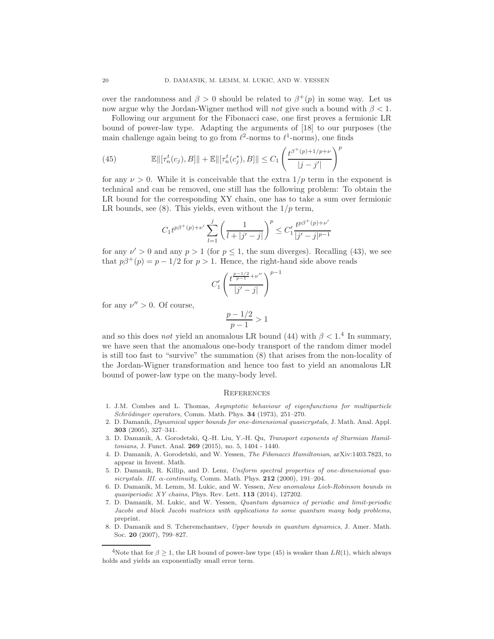over the randomness and  $\beta > 0$  should be related to  $\beta^+(p)$  in some way. Let us now argue why the Jordan-Wigner method will not give such a bound with  $\beta < 1$ .

Following our argument for the Fibonacci case, one first proves a fermionic LR bound of power-law type. Adapting the arguments of [18] to our purposes (the main challenge again being to go from  $\ell^2$ -norms to  $\ell^1$ -norms), one finds

(45) 
$$
\mathbb{E} \|[ \tau_n^t(c_j), B] \| + \mathbb{E} \|[ \tau_n^t(c_j^*), B] \| \leq C_1 \left( \frac{t^{\beta^+(p)+1/p+\nu}}{|j-j'|} \right)^p
$$

for any  $\nu > 0$ . While it is conceivable that the extra  $1/p$  term in the exponent is technical and can be removed, one still has the following problem: To obtain the LR bound for the corresponding XY chain, one has to take a sum over fermionic LR bounds, see (8). This yields, even without the  $1/p$  term,

$$
C_1 t^{p\beta^+(p)+\nu'}\sum_{l=1}^j\left(\frac{1}{l+|j'-j|}\right)^p\leq C_1'\frac{t^{p\beta^+(p)+\nu'}}{|j'-j|^{p-1}}
$$

for any  $\nu' > 0$  and any  $p > 1$  (for  $p \le 1$ , the sum diverges). Recalling (43), we see that  $p\beta^+(p) = p - 1/2$  for  $p > 1$ . Hence, the right-hand side above reads

$$
C'_1\left(\frac{t^{\frac{p-1/2}{p-1}+\nu''}}{|j'-j|}\right)^{p-1}
$$

for any  $\nu'' > 0$ . Of course,

$$
\frac{p-1/2}{p-1} > 1
$$

and so this does not yield an anomalous LR bound (44) with  $\beta < 1$ .<sup>4</sup> In summary, we have seen that the anomalous one-body transport of the random dimer model is still too fast to "survive" the summation (8) that arises from the non-locality of the Jordan-Wigner transformation and hence too fast to yield an anomalous LR bound of power-law type on the many-body level.

#### **REFERENCES**

- 1. J.M. Combes and L. Thomas, *Asymptotic behaviour of eigenfunctions for multiparticle Schrödinger operators*, Comm. Math. Phys. **34** (1973), 251–270.
- 2. D. Damanik, *Dynamical upper bounds for one-dimensional quasicrystals*, J. Math. Anal. Appl. 303 (2005), 327–341.
- 3. D. Damanik, A. Gorodetski, Q.-H. Liu, Y.-H. Qu, *Transport exponents of Sturmian Hamiltonians*, J. Funct. Anal. 269 (2015), no. 5, 1404 - 1440.
- 4. D. Damanik, A. Gorodetski, and W. Yessen, *The Fibonacci Hamiltonian*, arXiv:1403.7823, to appear in Invent. Math.
- 5. D. Damanik, R. Killip, and D. Lenz, *Uniform spectral properties of one-dimensional quasicrystals. III.* α*-continuity*, Comm. Math. Phys. 212 (2000), 191–204.
- 6. D. Damanik, M. Lemm, M. Lukic, and W. Yessen, *New anomalous Lieb-Robinson bounds in quasiperiodic XY chains*, Phys. Rev. Lett. 113 (2014), 127202.
- 7. D. Damanik, M. Lukic, and W. Yessen, *Quantum dynamics of periodic and limit-periodic Jacobi and block Jacobi matrices with applications to some quantum many body problems*, preprint.
- 8. D. Damanik and S. Tcheremchantsev, *Upper bounds in quantum dynamics*, J. Amer. Math. Soc. 20 (2007), 799–827.

<sup>&</sup>lt;sup>4</sup>Note that for  $\beta \geq 1$ , the LR bound of power-law type (45) is weaker than  $LR(1)$ , which always holds and yields an exponentially small error term.